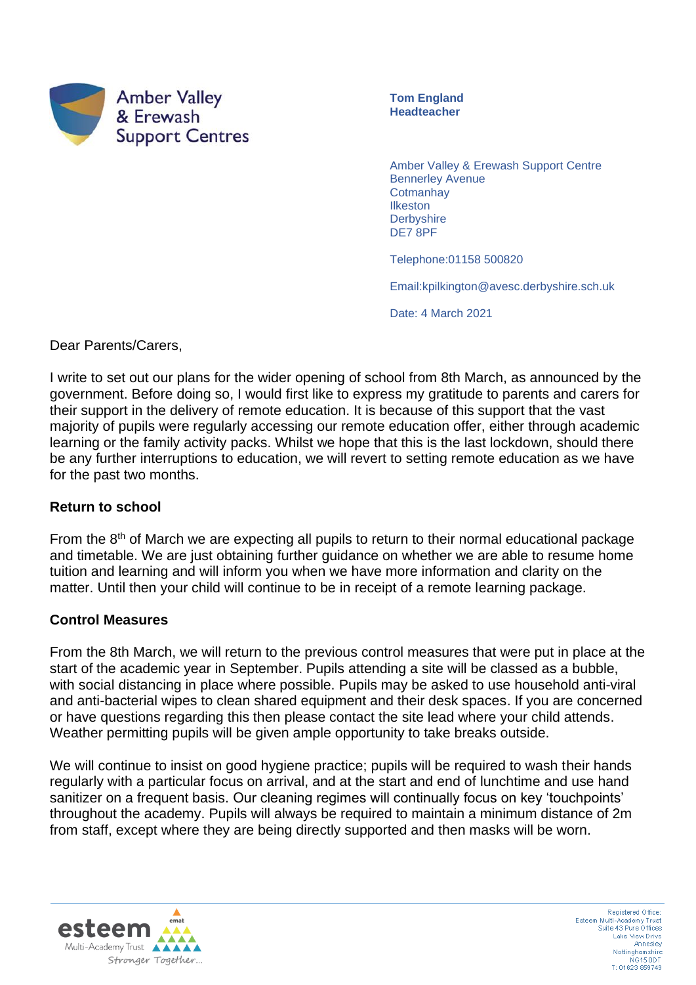

**Tom England Headteacher**

Amber Valley & Erewash Support Centre Bennerley Avenue **Cotmanhay Ilkeston Derbyshire** DE7 8PF

Telephone:01158 500820

Email:kpilkington@avesc.derbyshire.sch.uk

Date: 4 March 2021

Dear Parents/Carers,

I write to set out our plans for the wider opening of school from 8th March, as announced by the government. Before doing so, I would first like to express my gratitude to parents and carers for their support in the delivery of remote education. It is because of this support that the vast majority of pupils were regularly accessing our remote education offer, either through academic learning or the family activity packs. Whilst we hope that this is the last lockdown, should there be any further interruptions to education, we will revert to setting remote education as we have for the past two months.

## **Return to school**

From the  $8<sup>th</sup>$  of March we are expecting all pupils to return to their normal educational package and timetable. We are just obtaining further guidance on whether we are able to resume home tuition and learning and will inform you when we have more information and clarity on the matter. Until then your child will continue to be in receipt of a remote learning package.

## **Control Measures**

From the 8th March, we will return to the previous control measures that were put in place at the start of the academic year in September. Pupils attending a site will be classed as a bubble, with social distancing in place where possible. Pupils may be asked to use household anti-viral and anti-bacterial wipes to clean shared equipment and their desk spaces. If you are concerned or have questions regarding this then please contact the site lead where your child attends. Weather permitting pupils will be given ample opportunity to take breaks outside.

We will continue to insist on good hygiene practice; pupils will be required to wash their hands regularly with a particular focus on arrival, and at the start and end of lunchtime and use hand sanitizer on a frequent basis. Our cleaning regimes will continually focus on key 'touchpoints' throughout the academy. Pupils will always be required to maintain a minimum distance of 2m from staff, except where they are being directly supported and then masks will be worn.



Registered Office Esteem Multi-Academy Trust<br>Suite 43 Pure Offices Lake View Drive Annesley Nottinghamshire<br>NG15 0DT<br>T: 01623 859749